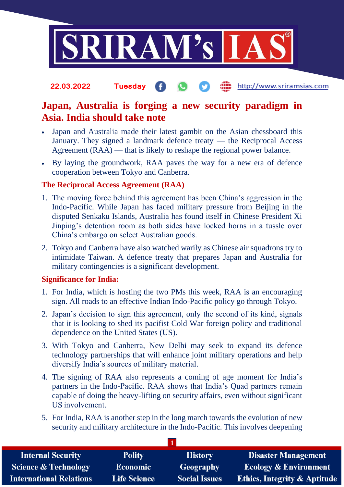

http://www.sriramsias.com **22.03.2022 Tuesday**

## **Japan, Australia is forging a new security paradigm in Asia. India should take note**

- Japan and Australia made their latest gambit on the Asian chessboard this January. They signed a landmark defence treaty — the Reciprocal Access Agreement (RAA) — that is likely to reshape the regional power balance.
- By laying the groundwork, RAA paves the way for a new era of defence cooperation between Tokyo and Canberra.

### **The Reciprocal Access Agreement (RAA)**

- 1. The moving force behind this agreement has been China's aggression in the Indo-Pacific. While Japan has faced military pressure from Beijing in the disputed Senkaku Islands, Australia has found itself in Chinese President Xi Jinping's detention room as both sides have locked horns in a tussle over China's embargo on select Australian goods.
- 2. Tokyo and Canberra have also watched warily as Chinese air squadrons try to intimidate Taiwan. A defence treaty that prepares Japan and Australia for military contingencies is a significant development.

### **Significance for India:**

- 1. For India, which is hosting the two PMs this week, RAA is an encouraging sign. All roads to an effective Indian Indo-Pacific policy go through Tokyo.
- 2. Japan's decision to sign this agreement, only the second of its kind, signals that it is looking to shed its pacifist Cold War foreign policy and traditional dependence on the United States (US).
- 3. With Tokyo and Canberra, New Delhi may seek to expand its defence technology partnerships that will enhance joint military operations and help diversify India's sources of military material.
- 4. The signing of RAA also represents a coming of age moment for India's partners in the Indo-Pacific. RAA shows that India's Quad partners remain capable of doing the heavy-lifting on security affairs, even without significant US involvement.
- 5. For India, RAA is another step in the long march towards the evolution of new security and military architecture in the Indo-Pacific. This involves deepening

**1**

| <b>Internal Security</b>        | <b>Polity</b>       | <b>History</b>       | <b>Disaster Management</b>              |  |
|---------------------------------|---------------------|----------------------|-----------------------------------------|--|
| <b>Science &amp; Technology</b> | <b>Economic</b>     | <b>Geography</b>     | <b>Ecology &amp; Environment</b>        |  |
| <b>International Relations</b>  | <b>Life Science</b> | <b>Social Issues</b> | <b>Ethics, Integrity &amp; Aptitude</b> |  |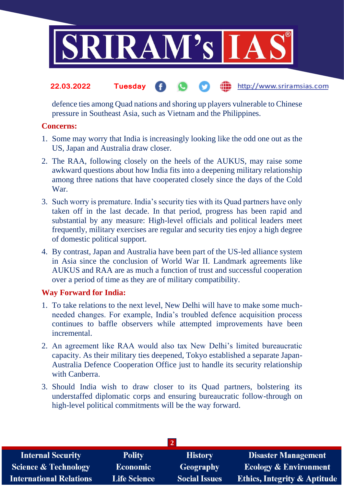

#### http://www.sriramsias.com **22.03.2022 Tuesday**

defence ties among Quad nations and shoring up players vulnerable to Chinese pressure in Southeast Asia, such as Vietnam and the Philippines.

#### **Concerns:**

- 1. Some may worry that India is increasingly looking like the odd one out as the US, Japan and Australia draw closer.
- 2. The RAA, following closely on the heels of the AUKUS, may raise some awkward questions about how India fits into a deepening military relationship among three nations that have cooperated closely since the days of the Cold War.
- 3. Such worry is premature. India's security ties with its Quad partners have only taken off in the last decade. In that period, progress has been rapid and substantial by any measure: High-level officials and political leaders meet frequently, military exercises are regular and security ties enjoy a high degree of domestic political support.
- 4. By contrast, Japan and Australia have been part of the US-led alliance system in Asia since the conclusion of World War II. Landmark agreements like AUKUS and RAA are as much a function of trust and successful cooperation over a period of time as they are of military compatibility.

### **Way Forward for India:**

- 1. To take relations to the next level, New Delhi will have to make some muchneeded changes. For example, India's troubled defence acquisition process continues to baffle observers while attempted improvements have been incremental.
- 2. An agreement like RAA would also tax New Delhi's limited bureaucratic capacity. As their military ties deepened, Tokyo established a separate Japan-Australia Defence Cooperation Office just to handle its security relationship with Canberra.
- 3. Should India wish to draw closer to its Quad partners, bolstering its understaffed diplomatic corps and ensuring bureaucratic follow-through on high-level political commitments will be the way forward.

| <b>Internal Security</b>        | <b>Polity</b>       | <b>History</b>       | <b>Disaster Management</b>              |  |
|---------------------------------|---------------------|----------------------|-----------------------------------------|--|
| <b>Science &amp; Technology</b> | <b>Economic</b>     | <b>Geography</b>     | <b>Ecology &amp; Environment</b>        |  |
| <b>International Relations</b>  | <b>Life Science</b> | <b>Social Issues</b> | <b>Ethics, Integrity &amp; Aptitude</b> |  |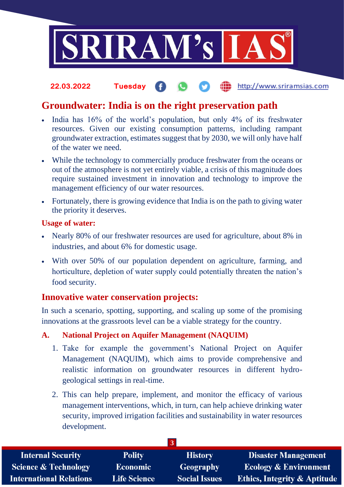

#### http://www.sriramsias.com **22.03.2022 Tuesday**

# **Groundwater: India is on the right preservation path**

- India has 16% of the world's population, but only 4% of its freshwater resources. Given our existing consumption patterns, including rampant groundwater extraction, estimates suggest that by 2030, we will only have half of the water we need.
- While the technology to commercially produce freshwater from the oceans or out of the atmosphere is not yet entirely viable, a crisis of this magnitude does require sustained investment in innovation and technology to improve the management efficiency of our water resources.
- Fortunately, there is growing evidence that India is on the path to giving water the priority it deserves.

#### **Usage of water:**

- Nearly 80% of our freshwater resources are used for agriculture, about 8% in industries, and about 6% for domestic usage.
- With over 50% of our population dependent on agriculture, farming, and horticulture, depletion of water supply could potentially threaten the nation's food security.

## **Innovative water conservation projects:**

In such a scenario, spotting, supporting, and scaling up some of the promising innovations at the grassroots level can be a viable strategy for the country.

### **A. National Project on Aquifer Management (NAQUIM)**

- 1. Take for example the government's National Project on Aquifer Management (NAQUIM), which aims to provide comprehensive and realistic information on groundwater resources in different hydrogeological settings in real-time.
- 2. This can help prepare, implement, and monitor the efficacy of various management interventions, which, in turn, can help achieve drinking water security, improved irrigation facilities and sustainability in water resources development.

| <b>Internal Security</b>        | <b>Polity</b>       | <b>History</b>       | Disaster Management                     |  |
|---------------------------------|---------------------|----------------------|-----------------------------------------|--|
| <b>Science &amp; Technology</b> | <b>Economic</b>     | Geography            | <b>Ecology &amp; Environment</b>        |  |
| <b>International Relations</b>  | <b>Life Science</b> | <b>Social Issues</b> | <b>Ethics, Integrity &amp; Aptitude</b> |  |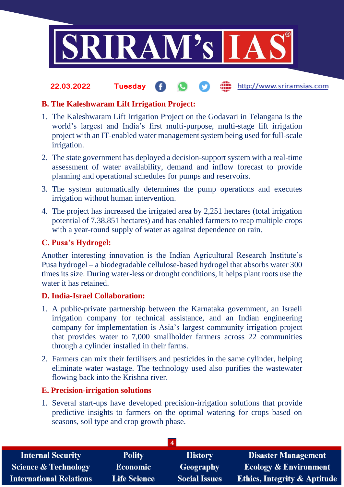

#### the http://www.sriramsias.com **22.03.2022 Tuesday**

## **B. The Kaleshwaram Lift Irrigation Project:**

- 1. The Kaleshwaram Lift Irrigation Project on the Godavari in Telangana is the world's largest and India's first multi-purpose, multi-stage lift irrigation project with an IT-enabled water management system being used for full-scale irrigation.
- 2. The state government has deployed a decision-support system with a real-time assessment of water availability, demand and inflow forecast to provide planning and operational schedules for pumps and reservoirs.
- 3. The system automatically determines the pump operations and executes irrigation without human intervention.
- 4. The project has increased the irrigated area by 2,251 hectares (total irrigation potential of 7,38,851 hectares) and has enabled farmers to reap multiple crops with a year-round supply of water as against dependence on rain.

### **C. Pusa's Hydrogel:**

Another interesting innovation is the Indian Agricultural Research Institute's Pusa hydrogel – a biodegradable cellulose-based hydrogel that absorbs water 300 times its size. During water-less or drought conditions, it helps plant roots use the water it has retained.

### **D. India-Israel Collaboration:**

- 1. A public-private partnership between the Karnataka government, an Israeli irrigation company for technical assistance, and an Indian engineering company for implementation is Asia's largest community irrigation project that provides water to 7,000 smallholder farmers across 22 communities through a cylinder installed in their farms.
- 2. Farmers can mix their fertilisers and pesticides in the same cylinder, helping eliminate water wastage. The technology used also purifies the wastewater flowing back into the Krishna river.

### **E. Precision-irrigation solutions**

1. Several start-ups have developed precision-irrigation solutions that provide predictive insights to farmers on the optimal watering for crops based on seasons, soil type and crop growth phase.

| <b>Polity</b>       | <b>History</b>       | <b>Disaster Management</b>              |  |  |
|---------------------|----------------------|-----------------------------------------|--|--|
| <b>Economic</b>     | Geography            | <b>Ecology &amp; Environment</b>        |  |  |
| <b>Life Science</b> | <b>Social Issues</b> | <b>Ethics, Integrity &amp; Aptitude</b> |  |  |
|                     |                      |                                         |  |  |